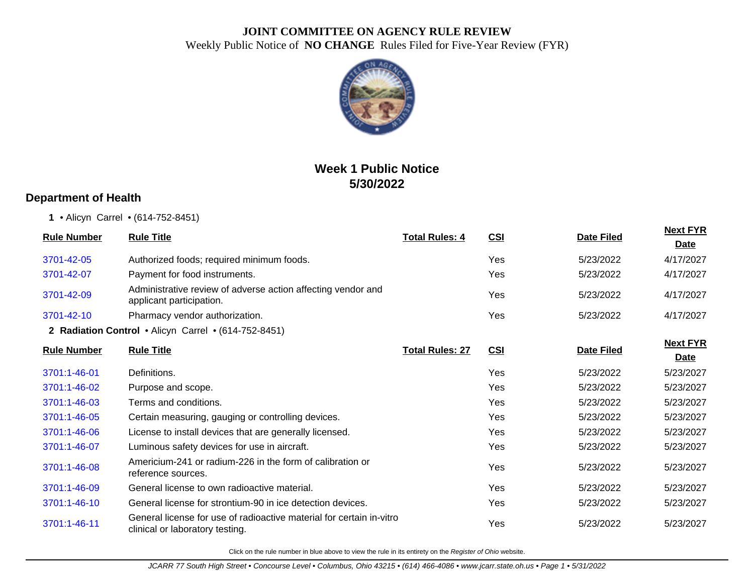

# **Week 1 Public Notice 5/30/2022**

#### **Department of Health**

**1** • Alicyn Carrel • (614-752-8451)

| <b>Rule Number</b> | <b>Rule Title</b>                                                                                       | <b>Total Rules: 4</b>  | CSI        | <b>Date Filed</b> | <b>Next FYR</b> |
|--------------------|---------------------------------------------------------------------------------------------------------|------------------------|------------|-------------------|-----------------|
|                    |                                                                                                         |                        |            |                   | <b>Date</b>     |
| 3701-42-05         | Authorized foods; required minimum foods.                                                               |                        | Yes        | 5/23/2022         | 4/17/2027       |
| 3701-42-07         | Payment for food instruments.                                                                           |                        | <b>Yes</b> | 5/23/2022         | 4/17/2027       |
| 3701-42-09         | Administrative review of adverse action affecting vendor and<br>applicant participation.                |                        | Yes        | 5/23/2022         | 4/17/2027       |
| 3701-42-10         | Pharmacy vendor authorization.                                                                          |                        | Yes        | 5/23/2022         | 4/17/2027       |
|                    | 2 Radiation Control . Alicyn Carrel . (614-752-8451)                                                    |                        |            |                   |                 |
| <b>Rule Number</b> | <b>Rule Title</b>                                                                                       | <b>Total Rules: 27</b> | CSI        | <b>Date Filed</b> | <b>Next FYR</b> |
|                    |                                                                                                         |                        |            |                   | <b>Date</b>     |
| 3701:1-46-01       | Definitions.                                                                                            |                        | Yes        | 5/23/2022         | 5/23/2027       |
| 3701:1-46-02       | Purpose and scope.                                                                                      |                        | Yes        | 5/23/2022         | 5/23/2027       |
| 3701:1-46-03       | Terms and conditions.                                                                                   |                        | Yes        | 5/23/2022         | 5/23/2027       |
| 3701:1-46-05       | Certain measuring, gauging or controlling devices.                                                      |                        | Yes        | 5/23/2022         | 5/23/2027       |
| 3701:1-46-06       | License to install devices that are generally licensed.                                                 |                        | Yes        | 5/23/2022         | 5/23/2027       |
| 3701:1-46-07       | Luminous safety devices for use in aircraft.                                                            |                        | <b>Yes</b> | 5/23/2022         | 5/23/2027       |
| 3701:1-46-08       | Americium-241 or radium-226 in the form of calibration or<br>reference sources.                         |                        | Yes        | 5/23/2022         | 5/23/2027       |
| 3701:1-46-09       | General license to own radioactive material.                                                            |                        | Yes        | 5/23/2022         | 5/23/2027       |
| 3701:1-46-10       | General license for strontium-90 in ice detection devices.                                              |                        | Yes        | 5/23/2022         | 5/23/2027       |
| 3701:1-46-11       | General license for use of radioactive material for certain in-vitro<br>clinical or laboratory testing. |                        | <b>Yes</b> | 5/23/2022         | 5/23/2027       |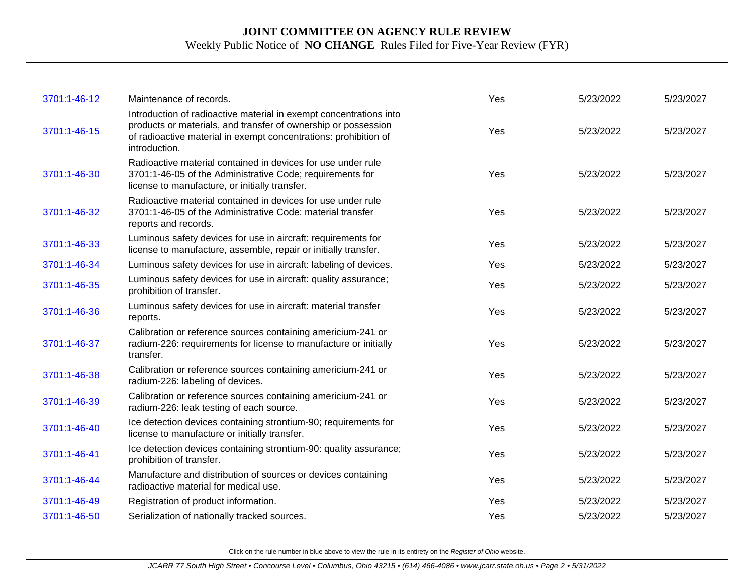| 3701:1-46-12 | Maintenance of records.                                                                                                                                                                                                   | Yes | 5/23/2022 | 5/23/2027 |
|--------------|---------------------------------------------------------------------------------------------------------------------------------------------------------------------------------------------------------------------------|-----|-----------|-----------|
| 3701:1-46-15 | Introduction of radioactive material in exempt concentrations into<br>products or materials, and transfer of ownership or possession<br>of radioactive material in exempt concentrations: prohibition of<br>introduction. | Yes | 5/23/2022 | 5/23/2027 |
| 3701:1-46-30 | Radioactive material contained in devices for use under rule<br>3701:1-46-05 of the Administrative Code; requirements for<br>license to manufacture, or initially transfer.                                               | Yes | 5/23/2022 | 5/23/2027 |
| 3701:1-46-32 | Radioactive material contained in devices for use under rule<br>3701:1-46-05 of the Administrative Code: material transfer<br>reports and records.                                                                        | Yes | 5/23/2022 | 5/23/2027 |
| 3701:1-46-33 | Luminous safety devices for use in aircraft: requirements for<br>license to manufacture, assemble, repair or initially transfer.                                                                                          | Yes | 5/23/2022 | 5/23/2027 |
| 3701:1-46-34 | Luminous safety devices for use in aircraft: labeling of devices.                                                                                                                                                         | Yes | 5/23/2022 | 5/23/2027 |
| 3701:1-46-35 | Luminous safety devices for use in aircraft: quality assurance;<br>prohibition of transfer.                                                                                                                               | Yes | 5/23/2022 | 5/23/2027 |
| 3701:1-46-36 | Luminous safety devices for use in aircraft: material transfer<br>reports.                                                                                                                                                | Yes | 5/23/2022 | 5/23/2027 |
| 3701:1-46-37 | Calibration or reference sources containing americium-241 or<br>radium-226: requirements for license to manufacture or initially<br>transfer.                                                                             | Yes | 5/23/2022 | 5/23/2027 |
| 3701:1-46-38 | Calibration or reference sources containing americium-241 or<br>radium-226: labeling of devices.                                                                                                                          | Yes | 5/23/2022 | 5/23/2027 |
| 3701:1-46-39 | Calibration or reference sources containing americium-241 or<br>radium-226: leak testing of each source.                                                                                                                  | Yes | 5/23/2022 | 5/23/2027 |
| 3701:1-46-40 | Ice detection devices containing strontium-90; requirements for<br>license to manufacture or initially transfer.                                                                                                          | Yes | 5/23/2022 | 5/23/2027 |
| 3701:1-46-41 | Ice detection devices containing strontium-90: quality assurance;<br>prohibition of transfer.                                                                                                                             | Yes | 5/23/2022 | 5/23/2027 |
| 3701:1-46-44 | Manufacture and distribution of sources or devices containing<br>radioactive material for medical use.                                                                                                                    | Yes | 5/23/2022 | 5/23/2027 |
| 3701:1-46-49 | Registration of product information.                                                                                                                                                                                      | Yes | 5/23/2022 | 5/23/2027 |
| 3701:1-46-50 | Serialization of nationally tracked sources.                                                                                                                                                                              | Yes | 5/23/2022 | 5/23/2027 |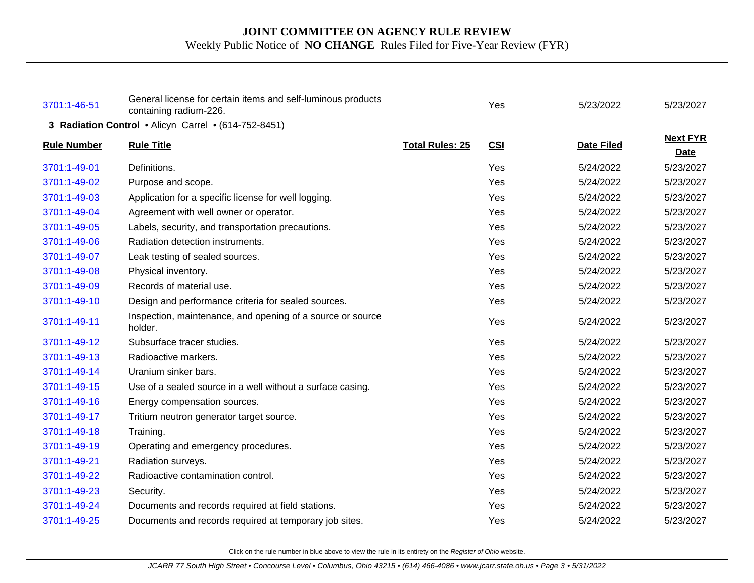| 3701:1-46-51                                         | General license for certain items and self-luminous products<br>containing radium-226. |                        | Yes        | 5/23/2022         | 5/23/2027                      |  |
|------------------------------------------------------|----------------------------------------------------------------------------------------|------------------------|------------|-------------------|--------------------------------|--|
| 3 Radiation Control . Alicyn Carrel . (614-752-8451) |                                                                                        |                        |            |                   |                                |  |
| <b>Rule Number</b>                                   | <b>Rule Title</b>                                                                      | <b>Total Rules: 25</b> | <b>CSI</b> | <b>Date Filed</b> | <b>Next FYR</b><br><b>Date</b> |  |
| 3701:1-49-01                                         | Definitions.                                                                           |                        | Yes        | 5/24/2022         | 5/23/2027                      |  |
| 3701:1-49-02                                         | Purpose and scope.                                                                     |                        | Yes        | 5/24/2022         | 5/23/2027                      |  |
| 3701:1-49-03                                         | Application for a specific license for well logging.                                   |                        | Yes        | 5/24/2022         | 5/23/2027                      |  |
| 3701:1-49-04                                         | Agreement with well owner or operator.                                                 |                        | Yes        | 5/24/2022         | 5/23/2027                      |  |
| 3701:1-49-05                                         | Labels, security, and transportation precautions.                                      |                        | Yes        | 5/24/2022         | 5/23/2027                      |  |
| 3701:1-49-06                                         | Radiation detection instruments.                                                       |                        | Yes        | 5/24/2022         | 5/23/2027                      |  |
| 3701:1-49-07                                         | Leak testing of sealed sources.                                                        |                        | Yes        | 5/24/2022         | 5/23/2027                      |  |
| 3701:1-49-08                                         | Physical inventory.                                                                    |                        | Yes        | 5/24/2022         | 5/23/2027                      |  |
| 3701:1-49-09                                         | Records of material use.                                                               |                        | Yes        | 5/24/2022         | 5/23/2027                      |  |
| 3701:1-49-10                                         | Design and performance criteria for sealed sources.                                    |                        | Yes        | 5/24/2022         | 5/23/2027                      |  |
| 3701:1-49-11                                         | Inspection, maintenance, and opening of a source or source<br>holder.                  |                        | Yes        | 5/24/2022         | 5/23/2027                      |  |
| 3701:1-49-12                                         | Subsurface tracer studies.                                                             |                        | Yes        | 5/24/2022         | 5/23/2027                      |  |
| 3701:1-49-13                                         | Radioactive markers.                                                                   |                        | Yes        | 5/24/2022         | 5/23/2027                      |  |
| 3701:1-49-14                                         | Uranium sinker bars.                                                                   |                        | Yes        | 5/24/2022         | 5/23/2027                      |  |
| 3701:1-49-15                                         | Use of a sealed source in a well without a surface casing.                             |                        | Yes        | 5/24/2022         | 5/23/2027                      |  |
| 3701:1-49-16                                         | Energy compensation sources.                                                           |                        | Yes        | 5/24/2022         | 5/23/2027                      |  |
| 3701:1-49-17                                         | Tritium neutron generator target source.                                               |                        | Yes        | 5/24/2022         | 5/23/2027                      |  |
| 3701:1-49-18                                         | Training.                                                                              |                        | Yes        | 5/24/2022         | 5/23/2027                      |  |
| 3701:1-49-19                                         | Operating and emergency procedures.                                                    |                        | Yes        | 5/24/2022         | 5/23/2027                      |  |
| 3701:1-49-21                                         | Radiation surveys.                                                                     |                        | Yes        | 5/24/2022         | 5/23/2027                      |  |
| 3701:1-49-22                                         | Radioactive contamination control.                                                     |                        | Yes        | 5/24/2022         | 5/23/2027                      |  |
| 3701:1-49-23                                         | Security.                                                                              |                        | Yes        | 5/24/2022         | 5/23/2027                      |  |
| 3701:1-49-24                                         | Documents and records required at field stations.                                      |                        | Yes        | 5/24/2022         | 5/23/2027                      |  |
| 3701:1-49-25                                         | Documents and records required at temporary job sites.                                 |                        | Yes        | 5/24/2022         | 5/23/2027                      |  |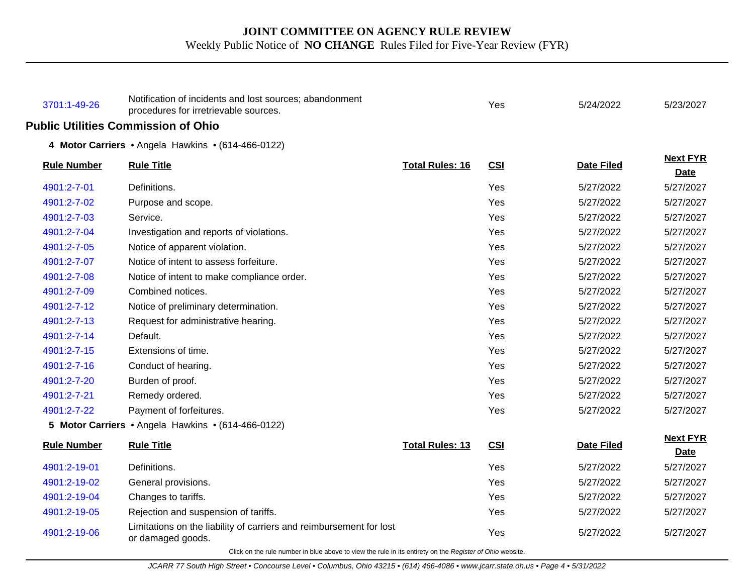| 3701:1-49-26       | Notification of incidents and lost sources; abandonment<br>procedures for irretrievable sources. |                        | Yes        | 5/24/2022         | 5/23/2027                      |
|--------------------|--------------------------------------------------------------------------------------------------|------------------------|------------|-------------------|--------------------------------|
|                    | <b>Public Utilities Commission of Ohio</b>                                                       |                        |            |                   |                                |
|                    | 4 Motor Carriers . Angela Hawkins . (614-466-0122)                                               |                        |            |                   |                                |
| <b>Rule Number</b> | <b>Rule Title</b>                                                                                | <b>Total Rules: 16</b> | <b>CSI</b> | <b>Date Filed</b> | <b>Next FYR</b><br><b>Date</b> |
| 4901:2-7-01        | Definitions.                                                                                     |                        | Yes        | 5/27/2022         | 5/27/2027                      |
| 4901:2-7-02        | Purpose and scope.                                                                               |                        | Yes        | 5/27/2022         | 5/27/2027                      |
| 4901:2-7-03        | Service.                                                                                         |                        | Yes        | 5/27/2022         | 5/27/2027                      |
| 4901:2-7-04        | Investigation and reports of violations.                                                         |                        | Yes        | 5/27/2022         | 5/27/2027                      |
| 4901:2-7-05        | Notice of apparent violation.                                                                    |                        | Yes        | 5/27/2022         | 5/27/2027                      |
| 4901:2-7-07        | Notice of intent to assess forfeiture.                                                           |                        | Yes        | 5/27/2022         | 5/27/2027                      |
| 4901:2-7-08        | Notice of intent to make compliance order.                                                       |                        | Yes        | 5/27/2022         | 5/27/2027                      |
| 4901:2-7-09        | Combined notices.                                                                                |                        | Yes        | 5/27/2022         | 5/27/2027                      |
| 4901:2-7-12        | Notice of preliminary determination.                                                             |                        | Yes        | 5/27/2022         | 5/27/2027                      |
| 4901:2-7-13        | Request for administrative hearing.                                                              |                        | Yes        | 5/27/2022         | 5/27/2027                      |
| 4901:2-7-14        | Default.                                                                                         |                        | Yes        | 5/27/2022         | 5/27/2027                      |
| 4901:2-7-15        | Extensions of time.                                                                              |                        | Yes        | 5/27/2022         | 5/27/2027                      |
| 4901:2-7-16        | Conduct of hearing.                                                                              |                        | Yes        | 5/27/2022         | 5/27/2027                      |
| 4901:2-7-20        | Burden of proof.                                                                                 |                        | Yes        | 5/27/2022         | 5/27/2027                      |
| 4901:2-7-21        | Remedy ordered.                                                                                  |                        | Yes        | 5/27/2022         | 5/27/2027                      |
| 4901:2-7-22        | Payment of forfeitures.                                                                          |                        | Yes        | 5/27/2022         | 5/27/2027                      |
|                    | 5 Motor Carriers • Angela Hawkins • (614-466-0122)                                               |                        |            |                   |                                |
| <b>Rule Number</b> | <b>Rule Title</b>                                                                                | <b>Total Rules: 13</b> | <b>CSI</b> | <b>Date Filed</b> | <b>Next FYR</b><br><b>Date</b> |
| 4901:2-19-01       | Definitions.                                                                                     |                        | Yes        | 5/27/2022         | 5/27/2027                      |
| 4901:2-19-02       | General provisions.                                                                              |                        | Yes        | 5/27/2022         | 5/27/2027                      |
| 4901:2-19-04       | Changes to tariffs.                                                                              |                        | Yes        | 5/27/2022         | 5/27/2027                      |
| 4901:2-19-05       | Rejection and suspension of tariffs.                                                             |                        | Yes        | 5/27/2022         | 5/27/2027                      |
| 4901:2-19-06       | Limitations on the liability of carriers and reimbursement for lost<br>or damaged goods.         |                        | Yes        | 5/27/2022         | 5/27/2027                      |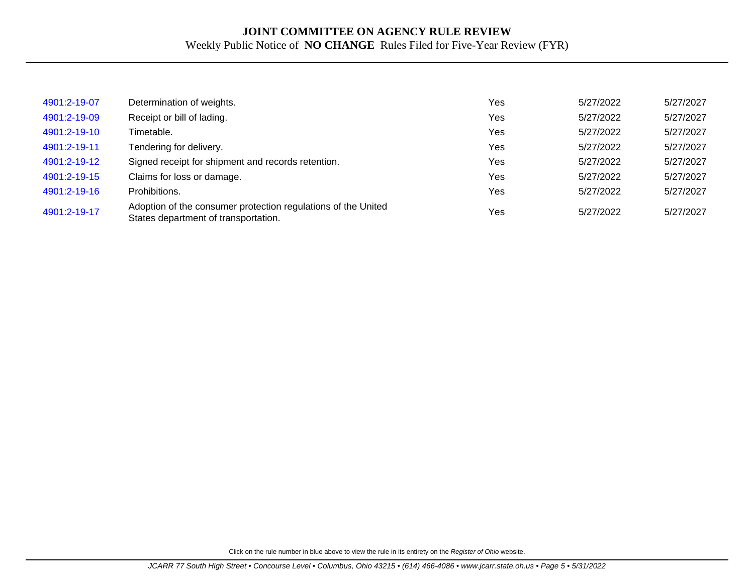| 4901:2-19-07 | Determination of weights.                                                                             | Yes | 5/27/2022 | 5/27/2027 |
|--------------|-------------------------------------------------------------------------------------------------------|-----|-----------|-----------|
| 4901:2-19-09 | Receipt or bill of lading.                                                                            | Yes | 5/27/2022 | 5/27/2027 |
| 4901:2-19-10 | Timetable.                                                                                            | Yes | 5/27/2022 | 5/27/2027 |
| 4901:2-19-11 | Tendering for delivery.                                                                               | Yes | 5/27/2022 | 5/27/2027 |
| 4901:2-19-12 | Signed receipt for shipment and records retention.                                                    | Yes | 5/27/2022 | 5/27/2027 |
| 4901:2-19-15 | Claims for loss or damage.                                                                            | Yes | 5/27/2022 | 5/27/2027 |
| 4901:2-19-16 | Prohibitions.                                                                                         | Yes | 5/27/2022 | 5/27/2027 |
| 4901:2-19-17 | Adoption of the consumer protection regulations of the United<br>States department of transportation. | Yes | 5/27/2022 | 5/27/2027 |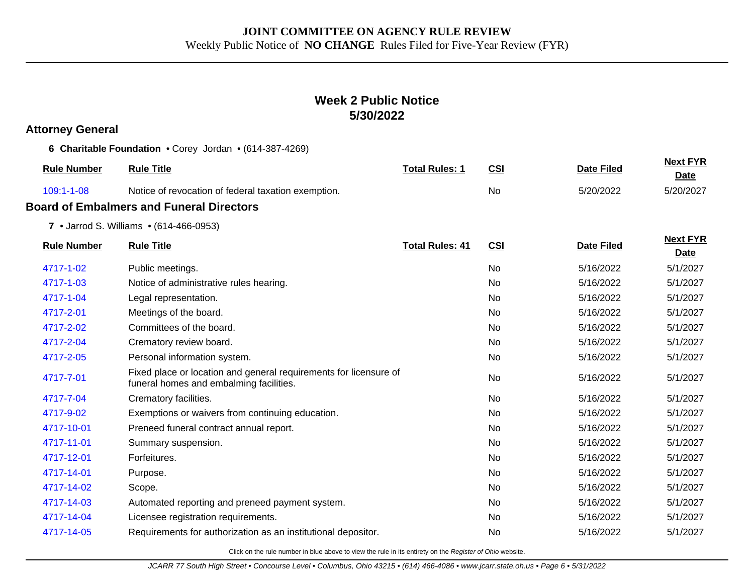## **Week 2 Public Notice 5/30/2022**

#### **Attorney General**

**6 Charitable Foundation** • Corey Jordan • (614-387-4269)

| <b>Rule Number</b> | <b>Rule Title</b>                                                                                            | <b>Total Rules: 1</b>  | <b>CSI</b> | <b>Date Filed</b> | <b>Next FYR</b><br><b>Date</b> |
|--------------------|--------------------------------------------------------------------------------------------------------------|------------------------|------------|-------------------|--------------------------------|
| 109:1-1-08         | Notice of revocation of federal taxation exemption.                                                          |                        | No         | 5/20/2022         | 5/20/2027                      |
|                    | <b>Board of Embalmers and Funeral Directors</b>                                                              |                        |            |                   |                                |
|                    | 7 • Jarrod S. Williams • (614-466-0953)                                                                      |                        |            |                   |                                |
| <b>Rule Number</b> | <b>Rule Title</b>                                                                                            | <b>Total Rules: 41</b> | <u>CSI</u> | <b>Date Filed</b> | <b>Next FYR</b><br>Date        |
| 4717-1-02          | Public meetings.                                                                                             |                        | No         | 5/16/2022         | 5/1/2027                       |
| 4717-1-03          | Notice of administrative rules hearing.                                                                      |                        | No         | 5/16/2022         | 5/1/2027                       |
| 4717-1-04          | Legal representation.                                                                                        |                        | No         | 5/16/2022         | 5/1/2027                       |
| 4717-2-01          | Meetings of the board.                                                                                       |                        | <b>No</b>  | 5/16/2022         | 5/1/2027                       |
| 4717-2-02          | Committees of the board.                                                                                     |                        | No.        | 5/16/2022         | 5/1/2027                       |
| 4717-2-04          | Crematory review board.                                                                                      |                        | No.        | 5/16/2022         | 5/1/2027                       |
| 4717-2-05          | Personal information system.                                                                                 |                        | No         | 5/16/2022         | 5/1/2027                       |
| 4717-7-01          | Fixed place or location and general requirements for licensure of<br>funeral homes and embalming facilities. |                        | No         | 5/16/2022         | 5/1/2027                       |
| 4717-7-04          | Crematory facilities.                                                                                        |                        | <b>No</b>  | 5/16/2022         | 5/1/2027                       |
| 4717-9-02          | Exemptions or waivers from continuing education.                                                             |                        | <b>No</b>  | 5/16/2022         | 5/1/2027                       |
| 4717-10-01         | Preneed funeral contract annual report.                                                                      |                        | No.        | 5/16/2022         | 5/1/2027                       |
| 4717-11-01         | Summary suspension.                                                                                          |                        | No         | 5/16/2022         | 5/1/2027                       |
| 4717-12-01         | Forfeitures.                                                                                                 |                        | <b>No</b>  | 5/16/2022         | 5/1/2027                       |
| 4717-14-01         | Purpose.                                                                                                     |                        | No.        | 5/16/2022         | 5/1/2027                       |
| 4717-14-02         | Scope.                                                                                                       |                        | No         | 5/16/2022         | 5/1/2027                       |
| 4717-14-03         | Automated reporting and preneed payment system.                                                              |                        | <b>No</b>  | 5/16/2022         | 5/1/2027                       |
| 4717-14-04         | Licensee registration requirements.                                                                          |                        | No.        | 5/16/2022         | 5/1/2027                       |
| 4717-14-05         | Requirements for authorization as an institutional depositor.                                                |                        | No         | 5/16/2022         | 5/1/2027                       |
|                    |                                                                                                              |                        |            |                   |                                |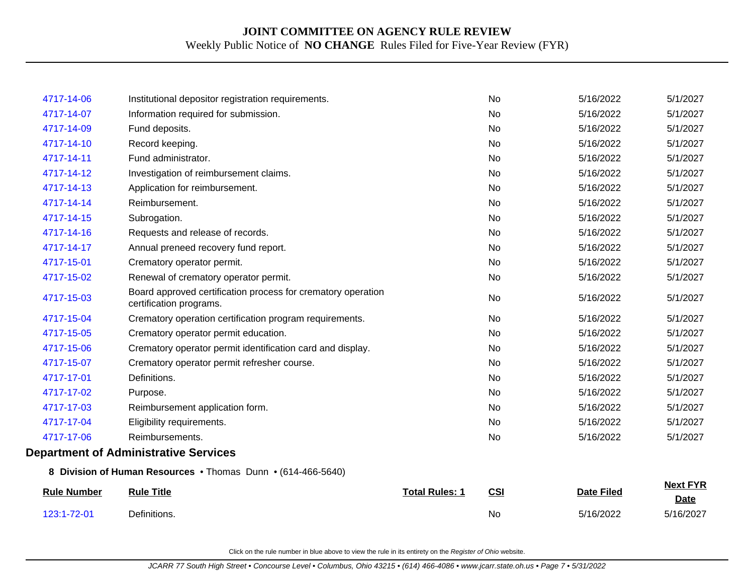| 123:1-72-01        | Definitions.                                                                            |                       | <b>No</b> | 5/16/2022         | 5/16/2027                      |
|--------------------|-----------------------------------------------------------------------------------------|-----------------------|-----------|-------------------|--------------------------------|
| <b>Rule Number</b> | <b>Rule Title</b>                                                                       | <b>Total Rules: 1</b> | CSI       | <b>Date Filed</b> | <b>Next FYR</b><br><b>Date</b> |
|                    | 8 Division of Human Resources . Thomas Dunn . (614-466-5640)                            |                       |           |                   |                                |
|                    | <b>Department of Administrative Services</b>                                            |                       |           |                   |                                |
| 4717-17-06         | Reimbursements.                                                                         |                       | No        | 5/16/2022         | 5/1/2027                       |
| 4717-17-04         | Eligibility requirements.                                                               |                       | <b>No</b> | 5/16/2022         | 5/1/2027                       |
| 4717-17-03         | Reimbursement application form.                                                         |                       | <b>No</b> | 5/16/2022         | 5/1/2027                       |
| 4717-17-02         | Purpose.                                                                                |                       | No        | 5/16/2022         | 5/1/2027                       |
| 4717-17-01         | Definitions.                                                                            |                       | No        | 5/16/2022         | 5/1/2027                       |
| 4717-15-07         | Crematory operator permit refresher course.                                             |                       | <b>No</b> | 5/16/2022         | 5/1/2027                       |
| 4717-15-06         | Crematory operator permit identification card and display.                              |                       | <b>No</b> | 5/16/2022         | 5/1/2027                       |
| 4717-15-05         | Crematory operator permit education.                                                    |                       | <b>No</b> | 5/16/2022         | 5/1/2027                       |
| 4717-15-04         | Crematory operation certification program requirements.                                 |                       | <b>No</b> | 5/16/2022         | 5/1/2027                       |
| 4717-15-03         | Board approved certification process for crematory operation<br>certification programs. |                       | No        | 5/16/2022         | 5/1/2027                       |
| 4717-15-02         | Renewal of crematory operator permit.                                                   |                       | No        | 5/16/2022         | 5/1/2027                       |
| 4717-15-01         | Crematory operator permit.                                                              |                       | <b>No</b> | 5/16/2022         | 5/1/2027                       |
| 4717-14-17         | Annual preneed recovery fund report.                                                    |                       | No        | 5/16/2022         | 5/1/2027                       |
| 4717-14-16         | Requests and release of records.                                                        |                       | No        | 5/16/2022         | 5/1/2027                       |
| 4717-14-15         | Subrogation.                                                                            |                       | <b>No</b> | 5/16/2022         | 5/1/2027                       |
| 4717-14-14         | Reimbursement.                                                                          |                       | No        | 5/16/2022         | 5/1/2027                       |
| 4717-14-13         | Application for reimbursement.                                                          |                       | <b>No</b> | 5/16/2022         | 5/1/2027                       |
| 4717-14-12         | Investigation of reimbursement claims.                                                  |                       | <b>No</b> | 5/16/2022         | 5/1/2027                       |
| 4717-14-11         | Fund administrator.                                                                     |                       | <b>No</b> | 5/16/2022         | 5/1/2027                       |
| 4717-14-10         | Record keeping.                                                                         |                       | No        | 5/16/2022         | 5/1/2027                       |
| 4717-14-09         | Fund deposits.                                                                          |                       | <b>No</b> | 5/16/2022         | 5/1/2027                       |
| 4717-14-07         | Information required for submission.                                                    |                       | <b>No</b> | 5/16/2022         | 5/1/2027                       |
| 4717-14-06         | Institutional depositor registration requirements.                                      |                       | <b>No</b> | 5/16/2022         | 5/1/2027                       |
|                    |                                                                                         |                       |           |                   |                                |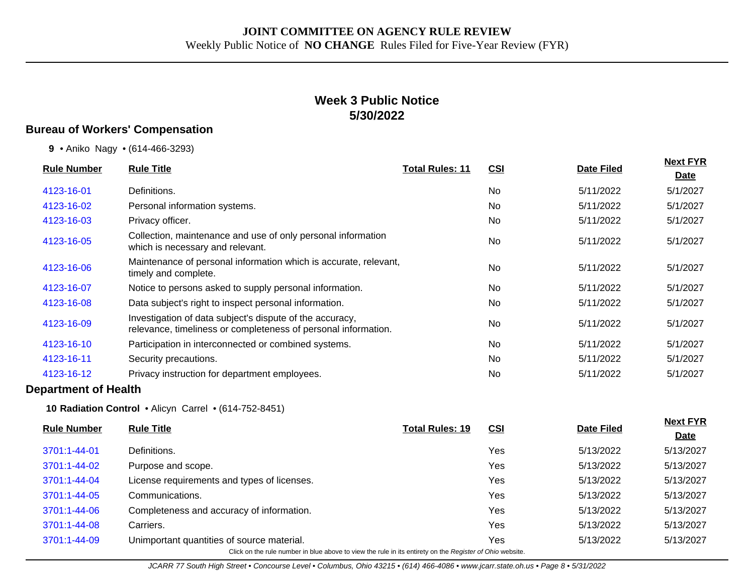## **Week 3 Public Notice 5/30/2022**

### **Bureau of Workers' Compensation**

|  |  |  | 9 • Aniko Nagy • (614-466-3293) |
|--|--|--|---------------------------------|
|--|--|--|---------------------------------|

|                    | <b>Rule Title</b>                                                                                                          |                        |            |                   | <b>Next FYR</b> |
|--------------------|----------------------------------------------------------------------------------------------------------------------------|------------------------|------------|-------------------|-----------------|
| <b>Rule Number</b> |                                                                                                                            | <b>Total Rules: 11</b> | <u>CSI</u> | <b>Date Filed</b> | <u>Date</u>     |
| 4123-16-01         | Definitions.                                                                                                               |                        | <b>No</b>  | 5/11/2022         | 5/1/2027        |
| 4123-16-02         | Personal information systems.                                                                                              |                        | No.        | 5/11/2022         | 5/1/2027        |
| 4123-16-03         | Privacy officer.                                                                                                           |                        | No         | 5/11/2022         | 5/1/2027        |
| 4123-16-05         | Collection, maintenance and use of only personal information<br>which is necessary and relevant.                           |                        | <b>No</b>  | 5/11/2022         | 5/1/2027        |
| 4123-16-06         | Maintenance of personal information which is accurate, relevant,<br>timely and complete.                                   |                        | <b>No</b>  | 5/11/2022         | 5/1/2027        |
| 4123-16-07         | Notice to persons asked to supply personal information.                                                                    |                        | <b>No</b>  | 5/11/2022         | 5/1/2027        |
| 4123-16-08         | Data subject's right to inspect personal information.                                                                      |                        | No.        | 5/11/2022         | 5/1/2027        |
| 4123-16-09         | Investigation of data subject's dispute of the accuracy,<br>relevance, timeliness or completeness of personal information. |                        | <b>No</b>  | 5/11/2022         | 5/1/2027        |
| 4123-16-10         | Participation in interconnected or combined systems.                                                                       |                        | No.        | 5/11/2022         | 5/1/2027        |
| 4123-16-11         | Security precautions.                                                                                                      |                        | <b>No</b>  | 5/11/2022         | 5/1/2027        |
| 4123-16-12         | Privacy instruction for department employees.                                                                              |                        | No.        | 5/11/2022         | 5/1/2027        |
|                    |                                                                                                                            |                        |            |                   |                 |

#### **Department of Health**

**10 Radiation Control** • Alicyn Carrel • (614-752-8451)

| <b>Rule Number</b>                                                                                       | <b>Rule Title</b>                           | <b>Total Rules: 19</b> | <u>CSI</u> | <b>Date Filed</b> | <b>Next FYR</b> |  |  |
|----------------------------------------------------------------------------------------------------------|---------------------------------------------|------------------------|------------|-------------------|-----------------|--|--|
|                                                                                                          |                                             |                        |            |                   | <b>Date</b>     |  |  |
| 3701:1-44-01                                                                                             | Definitions.                                |                        | Yes        | 5/13/2022         | 5/13/2027       |  |  |
| 3701:1-44-02                                                                                             | Purpose and scope.                          |                        | Yes        | 5/13/2022         | 5/13/2027       |  |  |
| 3701:1-44-04                                                                                             | License requirements and types of licenses. |                        | Yes        | 5/13/2022         | 5/13/2027       |  |  |
| 3701:1-44-05                                                                                             | Communications.                             |                        | Yes        | 5/13/2022         | 5/13/2027       |  |  |
| 3701:1-44-06                                                                                             | Completeness and accuracy of information.   |                        | Yes        | 5/13/2022         | 5/13/2027       |  |  |
| 3701:1-44-08                                                                                             | Carriers.                                   |                        | Yes        | 5/13/2022         | 5/13/2027       |  |  |
| 3701:1-44-09                                                                                             | Unimportant quantities of source material.  |                        | Yes        | 5/13/2022         | 5/13/2027       |  |  |
| Click on the rule number in blue above to view the rule in its entirety on the Register of Ohio website. |                                             |                        |            |                   |                 |  |  |

JCARR 77 South High Street • Concourse Level • Columbus, Ohio 43215 • (614) 466-4086 • www.jcarr.state.oh.us • Page 8 • 5/31/2022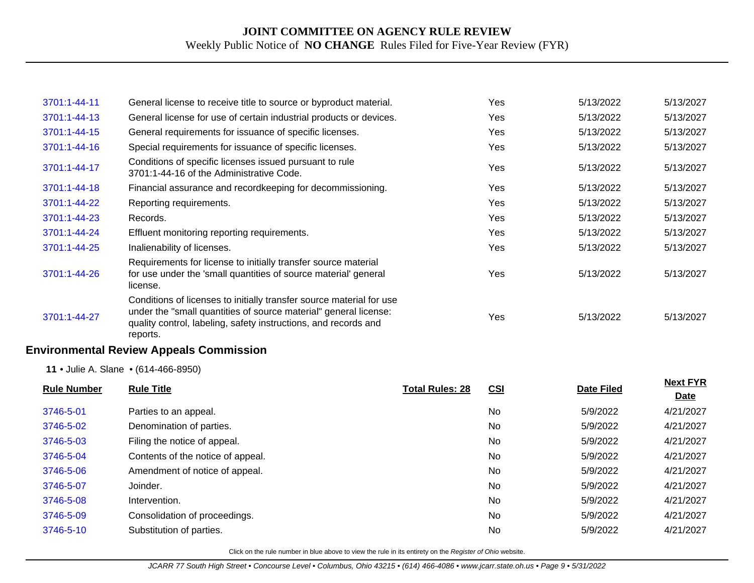| 3701:1-44-11       | General license to receive title to source or byproduct material.                                                                                                                                                       |                        | Yes        | 5/13/2022         | 5/13/2027                      |
|--------------------|-------------------------------------------------------------------------------------------------------------------------------------------------------------------------------------------------------------------------|------------------------|------------|-------------------|--------------------------------|
| 3701:1-44-13       | General license for use of certain industrial products or devices.                                                                                                                                                      |                        | Yes        | 5/13/2022         | 5/13/2027                      |
| 3701:1-44-15       | General requirements for issuance of specific licenses.                                                                                                                                                                 |                        | Yes        | 5/13/2022         | 5/13/2027                      |
| 3701:1-44-16       | Special requirements for issuance of specific licenses.                                                                                                                                                                 |                        | Yes        | 5/13/2022         | 5/13/2027                      |
| 3701:1-44-17       | Conditions of specific licenses issued pursuant to rule<br>3701:1-44-16 of the Administrative Code.                                                                                                                     |                        | Yes        | 5/13/2022         | 5/13/2027                      |
| 3701:1-44-18       | Financial assurance and recordkeeping for decommissioning.                                                                                                                                                              |                        | Yes        | 5/13/2022         | 5/13/2027                      |
| 3701:1-44-22       | Reporting requirements.                                                                                                                                                                                                 |                        | Yes        | 5/13/2022         | 5/13/2027                      |
| 3701:1-44-23       | Records.                                                                                                                                                                                                                |                        | Yes        | 5/13/2022         | 5/13/2027                      |
| 3701:1-44-24       | Effluent monitoring reporting requirements.                                                                                                                                                                             |                        | Yes        | 5/13/2022         | 5/13/2027                      |
| 3701:1-44-25       | Inalienability of licenses.                                                                                                                                                                                             |                        | Yes        | 5/13/2022         | 5/13/2027                      |
| 3701:1-44-26       | Requirements for license to initially transfer source material<br>for use under the 'small quantities of source material' general<br>license.                                                                           |                        | Yes        | 5/13/2022         | 5/13/2027                      |
| 3701:1-44-27       | Conditions of licenses to initially transfer source material for use<br>under the "small quantities of source material" general license:<br>quality control, labeling, safety instructions, and records and<br>reports. |                        | Yes        | 5/13/2022         | 5/13/2027                      |
|                    | <b>Environmental Review Appeals Commission</b>                                                                                                                                                                          |                        |            |                   |                                |
|                    | 11 . Julie A. Slane . (614-466-8950)                                                                                                                                                                                    |                        |            |                   |                                |
| <b>Rule Number</b> | <b>Rule Title</b>                                                                                                                                                                                                       | <b>Total Rules: 28</b> | <b>CSI</b> | <b>Date Filed</b> | <b>Next FYR</b><br><b>Date</b> |
| 3746-5-01          | Parties to an appeal.                                                                                                                                                                                                   |                        | No         | 5/9/2022          | 4/21/2027                      |
| 3746-5-02          | Denomination of parties.                                                                                                                                                                                                |                        | No         | 5/9/2022          | 4/21/2027                      |
|                    |                                                                                                                                                                                                                         |                        |            |                   |                                |

| 3746-5-03 | Filing the notice of appeal.      | No.       | 5/9/2022 | 4/21/2027 |
|-----------|-----------------------------------|-----------|----------|-----------|
| 3746-5-04 | Contents of the notice of appeal. | <b>No</b> | 5/9/2022 | 4/21/2027 |
| 3746-5-06 | Amendment of notice of appeal.    | <b>No</b> | 5/9/2022 | 4/21/2027 |
| 3746-5-07 | Joinder.                          | <b>No</b> | 5/9/2022 | 4/21/2027 |
| 3746-5-08 | Intervention.                     | No        | 5/9/2022 | 4/21/2027 |
| 3746-5-09 | Consolidation of proceedings.     | <b>No</b> | 5/9/2022 | 4/21/2027 |
| 3746-5-10 | Substitution of parties.          | No        | 5/9/2022 | 4/21/2027 |
|           |                                   |           |          |           |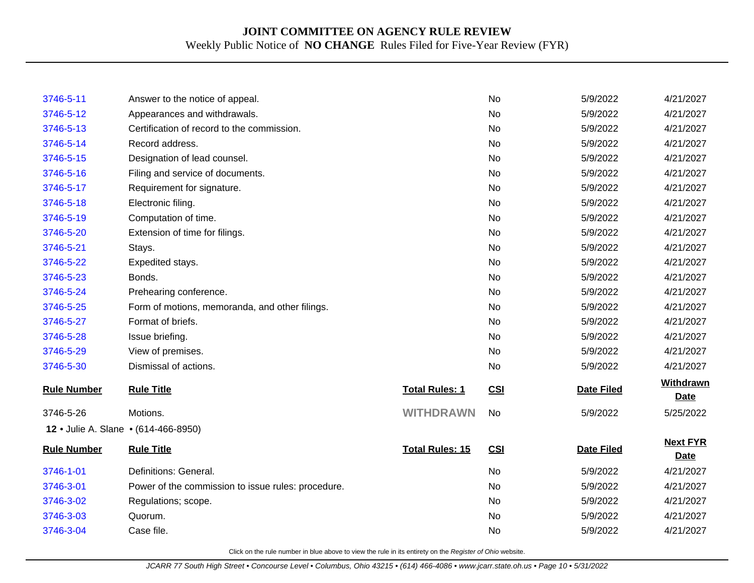| 3746-5-11                            | Answer to the notice of appeal.                    |                        | No         | 5/9/2022          | 4/21/2027                      |
|--------------------------------------|----------------------------------------------------|------------------------|------------|-------------------|--------------------------------|
| 3746-5-12                            | Appearances and withdrawals.                       |                        | No         | 5/9/2022          | 4/21/2027                      |
| 3746-5-13                            | Certification of record to the commission.         |                        | No         | 5/9/2022          | 4/21/2027                      |
| 3746-5-14                            | Record address.                                    |                        | No         | 5/9/2022          | 4/21/2027                      |
| 3746-5-15                            | Designation of lead counsel.                       |                        | <b>No</b>  | 5/9/2022          | 4/21/2027                      |
| 3746-5-16                            | Filing and service of documents.                   |                        | No         | 5/9/2022          | 4/21/2027                      |
| 3746-5-17                            | Requirement for signature.                         |                        | No         | 5/9/2022          | 4/21/2027                      |
| 3746-5-18                            | Electronic filing.                                 |                        | <b>No</b>  | 5/9/2022          | 4/21/2027                      |
| 3746-5-19                            | Computation of time.                               |                        | No         | 5/9/2022          | 4/21/2027                      |
| 3746-5-20                            | Extension of time for filings.                     |                        | <b>No</b>  | 5/9/2022          | 4/21/2027                      |
| 3746-5-21                            | Stays.                                             |                        | <b>No</b>  | 5/9/2022          | 4/21/2027                      |
| 3746-5-22                            | Expedited stays.                                   |                        | No         | 5/9/2022          | 4/21/2027                      |
| 3746-5-23                            | Bonds.                                             |                        | No         | 5/9/2022          | 4/21/2027                      |
| 3746-5-24                            | Prehearing conference.                             |                        | No         | 5/9/2022          | 4/21/2027                      |
| 3746-5-25                            | Form of motions, memoranda, and other filings.     |                        | No         | 5/9/2022          | 4/21/2027                      |
| 3746-5-27                            | Format of briefs.                                  |                        | <b>No</b>  | 5/9/2022          | 4/21/2027                      |
| 3746-5-28                            | Issue briefing.                                    |                        | No         | 5/9/2022          | 4/21/2027                      |
| 3746-5-29                            | View of premises.                                  |                        | No         | 5/9/2022          | 4/21/2027                      |
| 3746-5-30                            | Dismissal of actions.                              |                        | No         | 5/9/2022          | 4/21/2027                      |
| <b>Rule Number</b>                   | <b>Rule Title</b>                                  | <b>Total Rules: 1</b>  | CSI        | <b>Date Filed</b> | Withdrawn<br><b>Date</b>       |
| 3746-5-26                            | Motions.                                           | <b>WITHDRAWN</b>       | <b>No</b>  | 5/9/2022          | 5/25/2022                      |
| 12 . Julie A. Slane . (614-466-8950) |                                                    |                        |            |                   |                                |
| <b>Rule Number</b>                   | <b>Rule Title</b>                                  | <b>Total Rules: 15</b> | <b>CSI</b> | <b>Date Filed</b> | <b>Next FYR</b><br><b>Date</b> |
| 3746-1-01                            | Definitions: General.                              |                        | No         | 5/9/2022          | 4/21/2027                      |
| 3746-3-01                            | Power of the commission to issue rules: procedure. |                        | No         | 5/9/2022          | 4/21/2027                      |
| 3746-3-02                            | Regulations; scope.                                |                        | No         | 5/9/2022          | 4/21/2027                      |
| 3746-3-03                            | Quorum.                                            |                        | No         | 5/9/2022          | 4/21/2027                      |
| 3746-3-04                            | Case file.                                         |                        | No         | 5/9/2022          | 4/21/2027                      |
|                                      |                                                    |                        |            |                   |                                |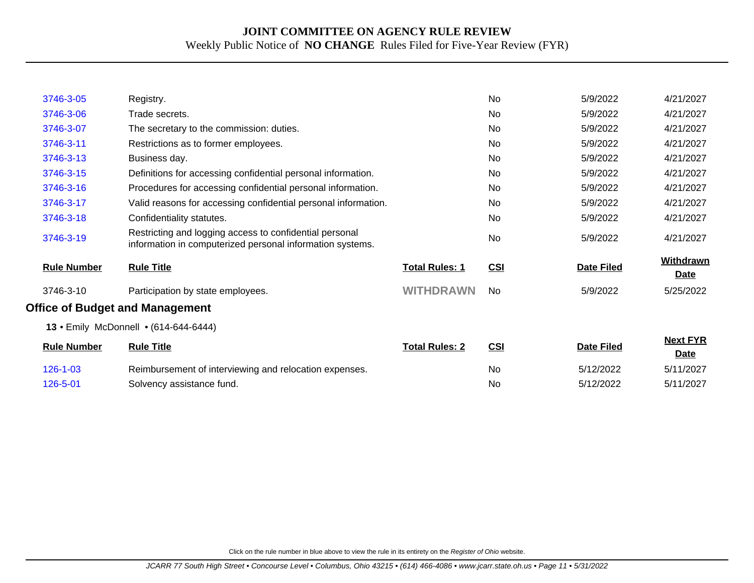| 3746-3-05          | Registry.                                                                                                            |                       | <b>No</b> | 5/9/2022          | 4/21/2027                      |
|--------------------|----------------------------------------------------------------------------------------------------------------------|-----------------------|-----------|-------------------|--------------------------------|
| 3746-3-06          | Trade secrets.                                                                                                       |                       | <b>No</b> | 5/9/2022          | 4/21/2027                      |
| 3746-3-07          | The secretary to the commission: duties.                                                                             |                       | No        | 5/9/2022          | 4/21/2027                      |
| 3746-3-11          | Restrictions as to former employees.                                                                                 |                       | No        | 5/9/2022          | 4/21/2027                      |
| 3746-3-13          | Business day.                                                                                                        |                       | <b>No</b> | 5/9/2022          | 4/21/2027                      |
| 3746-3-15          | Definitions for accessing confidential personal information.                                                         |                       | No.       | 5/9/2022          | 4/21/2027                      |
| 3746-3-16          | Procedures for accessing confidential personal information.                                                          |                       | <b>No</b> | 5/9/2022          | 4/21/2027                      |
| 3746-3-17          | Valid reasons for accessing confidential personal information.                                                       |                       | <b>No</b> | 5/9/2022          | 4/21/2027                      |
| 3746-3-18          | Confidentiality statutes.                                                                                            |                       | <b>No</b> | 5/9/2022          | 4/21/2027                      |
| 3746-3-19          | Restricting and logging access to confidential personal<br>information in computerized personal information systems. |                       | <b>No</b> | 5/9/2022          | 4/21/2027                      |
| <b>Rule Number</b> | <b>Rule Title</b>                                                                                                    | <b>Total Rules: 1</b> | CSI       | <b>Date Filed</b> | <b>Withdrawn</b><br>Date       |
| 3746-3-10          | Participation by state employees.                                                                                    | <b>WITHDRAWN</b>      | No.       | 5/9/2022          | 5/25/2022                      |
|                    | <b>Office of Budget and Management</b>                                                                               |                       |           |                   |                                |
|                    | 13 • Emily McDonnell • (614-644-6444)                                                                                |                       |           |                   |                                |
| <b>Rule Number</b> | <b>Rule Title</b>                                                                                                    | <b>Total Rules: 2</b> | CSI       | <b>Date Filed</b> | <b>Next FYR</b><br><b>Date</b> |
| $126 - 1 - 03$     | Reimbursement of interviewing and relocation expenses.                                                               |                       | No        | 5/12/2022         | 5/11/2027                      |
| 126-5-01           | Solvency assistance fund.                                                                                            |                       | No.       | 5/12/2022         | 5/11/2027                      |